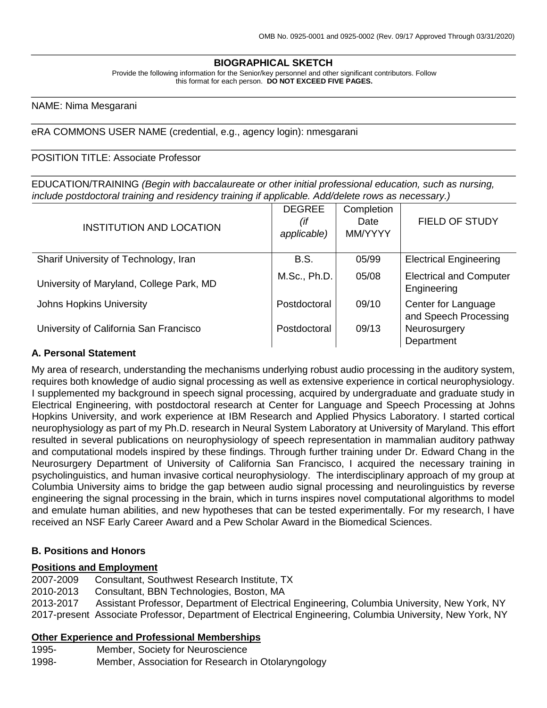## **BIOGRAPHICAL SKETCH**

Provide the following information for the Senior/key personnel and other significant contributors. Follow this format for each person. **DO NOT EXCEED FIVE PAGES.**

#### NAME: Nima Mesgarani

#### eRA COMMONS USER NAME (credential, e.g., agency login): nmesgarani

#### POSITION TITLE: Associate Professor

EDUCATION/TRAINING *(Begin with baccalaureate or other initial professional education, such as nursing, include postdoctoral training and residency training if applicable. Add/delete rows as necessary.)*

| <b>INSTITUTION AND LOCATION</b>          | <b>DEGREE</b><br>(if<br>applicable) | Completion<br>Date<br>MM/YYYY | FIELD OF STUDY                                |
|------------------------------------------|-------------------------------------|-------------------------------|-----------------------------------------------|
| Sharif University of Technology, Iran    | <b>B.S.</b>                         | 05/99                         | <b>Electrical Engineering</b>                 |
| University of Maryland, College Park, MD | M.Sc., Ph.D.                        | 05/08                         | <b>Electrical and Computer</b><br>Engineering |
| <b>Johns Hopkins University</b>          | Postdoctoral                        | 09/10                         | Center for Language<br>and Speech Processing  |
| University of California San Francisco   | Postdoctoral                        | 09/13                         | Neurosurgery<br>Department                    |

### **A. Personal Statement**

My area of research, understanding the mechanisms underlying robust audio processing in the auditory system, requires both knowledge of audio signal processing as well as extensive experience in cortical neurophysiology. I supplemented my background in speech signal processing, acquired by undergraduate and graduate study in Electrical Engineering, with postdoctoral research at Center for Language and Speech Processing at Johns Hopkins University, and work experience at IBM Research and Applied Physics Laboratory. I started cortical neurophysiology as part of my Ph.D. research in Neural System Laboratory at University of Maryland. This effort resulted in several publications on neurophysiology of speech representation in mammalian auditory pathway and computational models inspired by these findings. Through further training under Dr. Edward Chang in the Neurosurgery Department of University of California San Francisco, I acquired the necessary training in psycholinguistics, and human invasive cortical neurophysiology. The interdisciplinary approach of my group at Columbia University aims to bridge the gap between audio signal processing and neurolinguistics by reverse engineering the signal processing in the brain, which in turns inspires novel computational algorithms to model and emulate human abilities, and new hypotheses that can be tested experimentally. For my research, I have received an NSF Early Career Award and a Pew Scholar Award in the Biomedical Sciences.

## **B. Positions and Honors**

#### **Positions and Employment**

2007-2009 Consultant, Southwest Research Institute, TX 2010-2013 Consultant, BBN Technologies, Boston, MA 2013-2017 Assistant Professor, Department of Electrical Engineering, Columbia University, New York, NY 2017-present Associate Professor, Department of Electrical Engineering, Columbia University, New York, NY

## **Other Experience and Professional Memberships**

1995- Member, Society for Neuroscience

1998- Member, Association for Research in Otolaryngology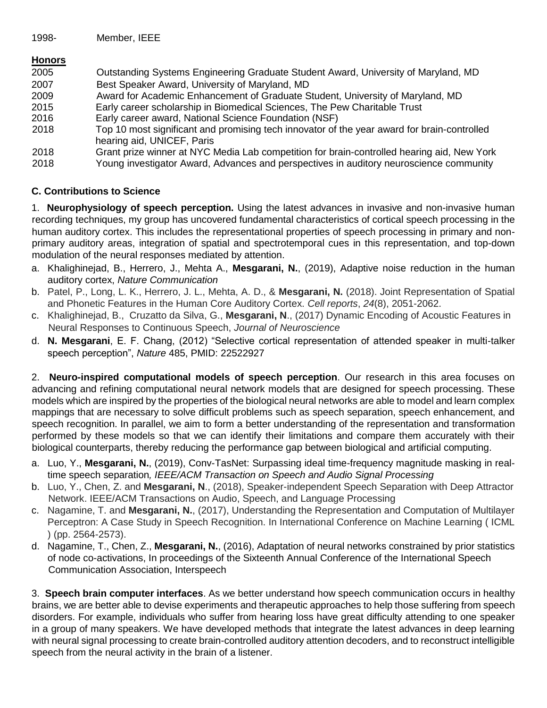## **Honors**

| 2005 | Outstanding Systems Engineering Graduate Student Award, University of Maryland, MD                                        |
|------|---------------------------------------------------------------------------------------------------------------------------|
| 2007 | Best Speaker Award, University of Maryland, MD                                                                            |
| 2009 | Award for Academic Enhancement of Graduate Student, University of Maryland, MD                                            |
| 2015 | Early career scholarship in Biomedical Sciences, The Pew Charitable Trust                                                 |
| 2016 | Early career award, National Science Foundation (NSF)                                                                     |
| 2018 | Top 10 most significant and promising tech innovator of the year award for brain-controlled<br>hearing aid, UNICEF, Paris |
| 2018 | Grant prize winner at NYC Media Lab competition for brain-controlled hearing aid, New York                                |
| 2018 | Young investigator Award, Advances and perspectives in auditory neuroscience community                                    |

## **C. Contributions to Science**

1. **Neurophysiology of speech perception.** Using the latest advances in invasive and non-invasive human recording techniques, my group has uncovered fundamental characteristics of cortical speech processing in the human auditory cortex. This includes the representational properties of speech processing in primary and nonprimary auditory areas, integration of spatial and spectrotemporal cues in this representation, and top-down modulation of the neural responses mediated by attention.

- a. Khalighinejad, B., Herrero, J., Mehta A., **Mesgarani, N.**, (2019), Adaptive noise reduction in the human auditory cortex, *Nature Communication*
- b. Patel, P., Long, L. K., Herrero, J. L., Mehta, A. D., & **Mesgarani, N.** (2018). Joint Representation of Spatial and Phonetic Features in the Human Core Auditory Cortex. *Cell reports*, *24*(8), 2051-2062.
- c. Khalighinejad, B., Cruzatto da Silva, G., **Mesgarani, N**., (2017) Dynamic Encoding of Acoustic Features in Neural Responses to Continuous Speech, *Journal of Neuroscience*
- d. **N. Mesgarani**, E. F. Chang, (2012) "Selective cortical representation of attended speaker in multi-talker speech perception", *Nature* 485, PMID: 22522927

2. **Neuro-inspired computational models of speech perception**. Our research in this area focuses on advancing and refining computational neural network models that are designed for speech processing. These models which are inspired by the properties of the biological neural networks are able to model and learn complex mappings that are necessary to solve difficult problems such as speech separation, speech enhancement, and speech recognition. In parallel, we aim to form a better understanding of the representation and transformation performed by these models so that we can identify their limitations and compare them accurately with their biological counterparts, thereby reducing the performance gap between biological and artificial computing.

- a. Luo, Y., **Mesgarani, N.**, (2019), Conv-TasNet: Surpassing ideal time-frequency magnitude masking in realtime speech separation*, IEEE/ACM Transaction on Speech and Audio Signal Processing*
- b. Luo, Y., Chen, Z. and **Mesgarani, N**., (2018), Speaker-independent Speech Separation with Deep Attractor Network. IEEE/ACM Transactions on Audio, Speech, and Language Processing
- c. Nagamine, T. and **Mesgarani, N.**, (2017), Understanding the Representation and Computation of Multilayer Perceptron: A Case Study in Speech Recognition. In International Conference on Machine Learning ( ICML ) (pp. 2564-2573).
- d. Nagamine, T., Chen, Z., **Mesgarani, N.**, (2016), Adaptation of neural networks constrained by prior statistics of node co-activations, In proceedings of the Sixteenth Annual Conference of the International Speech Communication Association, Interspeech

3. **Speech brain computer interfaces**. As we better understand how speech communication occurs in healthy brains, we are better able to devise experiments and therapeutic approaches to help those suffering from speech disorders. For example, individuals who suffer from hearing loss have great difficulty attending to one speaker in a group of many speakers. We have developed methods that integrate the latest advances in deep learning with neural signal processing to create brain-controlled auditory attention decoders, and to reconstruct intelligible speech from the neural activity in the brain of a listener.